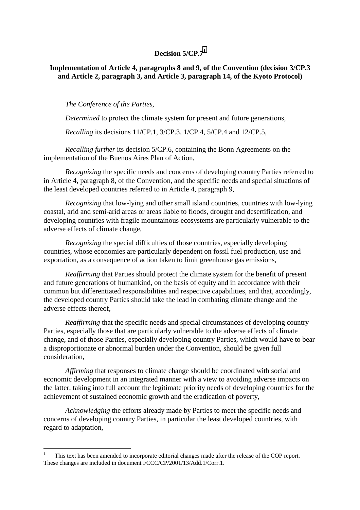#### **Decision 5/CP.7<sup>1</sup>**

#### **Implementation of Article 4, paragraphs 8 and 9, of the Convention (decision 3/CP.3 and Article 2, paragraph 3, and Article 3, paragraph 14, of the Kyoto Protocol)**

*The Conference of the Parties,*

*Determined* to protect the climate system for present and future generations,

*Recalling* its decisions 11/CP.1, 3/CP.3, 1/CP.4, 5/CP.4 and 12/CP.5,

*Recalling further* its decision 5/CP.6, containing the Bonn Agreements on the implementation of the Buenos Aires Plan of Action,

*Recognizing* the specific needs and concerns of developing country Parties referred to in Article 4, paragraph 8, of the Convention, and the specific needs and special situations of the least developed countries referred to in Article 4, paragraph 9,

*Recognizing* that low-lying and other small island countries, countries with low-lying coastal, arid and semi-arid areas or areas liable to floods, drought and desertification, and developing countries with fragile mountainous ecosystems are particularly vulnerable to the adverse effects of climate change,

*Recognizing* the special difficulties of those countries, especially developing countries, whose economies are particularly dependent on fossil fuel production, use and exportation, as a consequence of action taken to limit greenhouse gas emissions,

*Reaffirming* that Parties should protect the climate system for the benefit of present and future generations of humankind, on the basis of equity and in accordance with their common but differentiated responsibilities and respective capabilities, and that, accordingly, the developed country Parties should take the lead in combating climate change and the adverse effects thereof,

*Reaffirming* that the specific needs and special circumstances of developing country Parties, especially those that are particularly vulnerable to the adverse effects of climate change, and of those Parties, especially developing country Parties, which would have to bear a disproportionate or abnormal burden under the Convention, should be given full consideration,

*Affirming* that responses to climate change should be coordinated with social and economic development in an integrated manner with a view to avoiding adverse impacts on the latter, taking into full account the legitimate priority needs of developing countries for the achievement of sustained economic growth and the eradication of poverty,

*Acknowledging* the efforts already made by Parties to meet the specific needs and concerns of developing country Parties, in particular the least developed countries, with regard to adaptation,

 $\overline{a}$ 

<sup>1</sup> This text has been amended to incorporate editorial changes made after the release of the COP report. These changes are included in document FCCC/CP/2001/13/Add.1/Corr.1.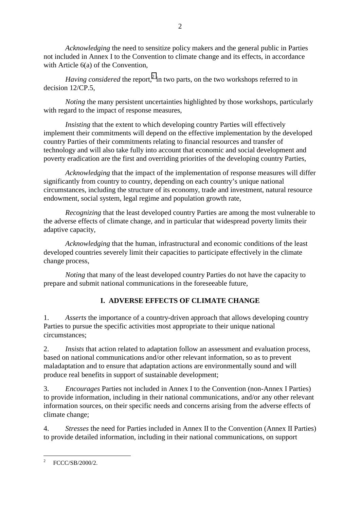*Acknowledging* the need to sensitize policy makers and the general public in Parties not included in Annex I to the Convention to climate change and its effects, in accordance with Article 6(a) of the Convention,

Having considered the report,<sup>2</sup> in two parts, on the two workshops referred to in decision 12/CP.5,

*Noting* the many persistent uncertainties highlighted by those workshops, particularly with regard to the impact of response measures,

*Insisting* that the extent to which developing country Parties will effectively implement their commitments will depend on the effective implementation by the developed country Parties of their commitments relating to financial resources and transfer of technology and will also take fully into account that economic and social development and poverty eradication are the first and overriding priorities of the developing country Parties,

*Acknowledging* that the impact of the implementation of response measures will differ significantly from country to country, depending on each country's unique national circumstances, including the structure of its economy, trade and investment, natural resource endowment, social system, legal regime and population growth rate,

*Recognizing* that the least developed country Parties are among the most vulnerable to the adverse effects of climate change, and in particular that widespread poverty limits their adaptive capacity,

*Acknowledging* that the human, infrastructural and economic conditions of the least developed countries severely limit their capacities to participate effectively in the climate change process,

*Noting* that many of the least developed country Parties do not have the capacity to prepare and submit national communications in the foreseeable future,

# **I. ADVERSE EFFECTS OF CLIMATE CHANGE**

1. *Asserts* the importance of a country-driven approach that allows developing country Parties to pursue the specific activities most appropriate to their unique national circumstances;

2. *Insists* that action related to adaptation follow an assessment and evaluation process, based on national communications and/or other relevant information, so as to prevent maladaptation and to ensure that adaptation actions are environmentally sound and will produce real benefits in support of sustainable development;

3. *Encourages* Parties not included in Annex I to the Convention (non-Annex I Parties) to provide information, including in their national communications, and/or any other relevant information sources, on their specific needs and concerns arising from the adverse effects of climate change;

4. *Stresses* the need for Parties included in Annex II to the Convention (Annex II Parties) to provide detailed information, including in their national communications, on support

 $\frac{1}{2}$ FCCC/SB/2000/2.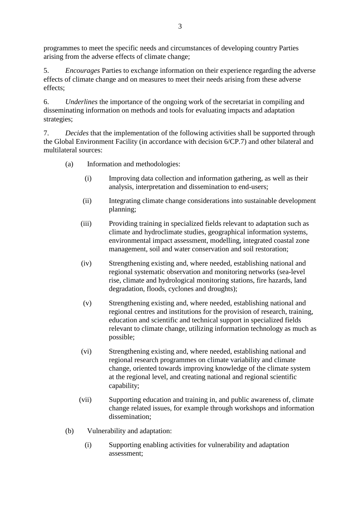programmes to meet the specific needs and circumstances of developing country Parties arising from the adverse effects of climate change;

5. *Encourages* Parties to exchange information on their experience regarding the adverse effects of climate change and on measures to meet their needs arising from these adverse effects;

6. *Underlines* the importance of the ongoing work of the secretariat in compiling and disseminating information on methods and tools for evaluating impacts and adaptation strategies;

7. *Decides* that the implementation of the following activities shall be supported through the Global Environment Facility (in accordance with decision 6/CP.7) and other bilateral and multilateral sources:

- (a) Information and methodologies:
	- (i) Improving data collection and information gathering, as well as their analysis, interpretation and dissemination to end-users;
	- (ii) Integrating climate change considerations into sustainable development planning;
	- (iii) Providing training in specialized fields relevant to adaptation such as climate and hydroclimate studies, geographical information systems, environmental impact assessment, modelling, integrated coastal zone management, soil and water conservation and soil restoration;
	- (iv) Strengthening existing and, where needed, establishing national and regional systematic observation and monitoring networks (sea-level rise, climate and hydrological monitoring stations, fire hazards, land degradation, floods, cyclones and droughts);
	- (v) Strengthening existing and, where needed, establishing national and regional centres and institutions for the provision of research, training, education and scientific and technical support in specialized fields relevant to climate change, utilizing information technology as much as possible;
	- (vi) Strengthening existing and, where needed, establishing national and regional research programmes on climate variability and climate change, oriented towards improving knowledge of the climate system at the regional level, and creating national and regional scientific capability;
	- (vii) Supporting education and training in, and public awareness of, climate change related issues, for example through workshops and information dissemination;
- (b) Vulnerability and adaptation:
	- (i) Supporting enabling activities for vulnerability and adaptation assessment;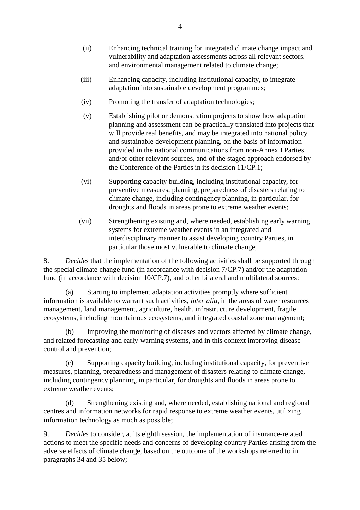- (ii) Enhancing technical training for integrated climate change impact and vulnerability and adaptation assessments across all relevant sectors, and environmental management related to climate change;
- (iii) Enhancing capacity, including institutional capacity, to integrate adaptation into sustainable development programmes;
- (iv) Promoting the transfer of adaptation technologies;
- (v) Establishing pilot or demonstration projects to show how adaptation planning and assessment can be practically translated into projects that will provide real benefits, and may be integrated into national policy and sustainable development planning, on the basis of information provided in the national communications from non-Annex I Parties and/or other relevant sources, and of the staged approach endorsed by the Conference of the Parties in its decision 11/CP.1;
- (vi) Supporting capacity building, including institutional capacity, for preventive measures, planning, preparedness of disasters relating to climate change, including contingency planning, in particular, for droughts and floods in areas prone to extreme weather events;
- (vii) Strengthening existing and, where needed, establishing early warning systems for extreme weather events in an integrated and interdisciplinary manner to assist developing country Parties, in particular those most vulnerable to climate change;

8. *Decides* that the implementation of the following activities shall be supported through the special climate change fund (in accordance with decision 7/CP.7) and/or the adaptation fund (in accordance with decision 10/CP.7), and other bilateral and multilateral sources:

(a) Starting to implement adaptation activities promptly where sufficient information is available to warrant such activities, *inter alia*, in the areas of water resources management, land management, agriculture, health, infrastructure development, fragile ecosystems, including mountainous ecosystems, and integrated coastal zone management;

(b) Improving the monitoring of diseases and vectors affected by climate change, and related forecasting and early-warning systems, and in this context improving disease control and prevention;

(c) Supporting capacity building, including institutional capacity, for preventive measures, planning, preparedness and management of disasters relating to climate change, including contingency planning, in particular, for droughts and floods in areas prone to extreme weather events;

(d) Strengthening existing and, where needed, establishing national and regional centres and information networks for rapid response to extreme weather events, utilizing information technology as much as possible;

9. *Decides* to consider, at its eighth session, the implementation of insurance-related actions to meet the specific needs and concerns of developing country Parties arising from the adverse effects of climate change, based on the outcome of the workshops referred to in paragraphs 34 and 35 below;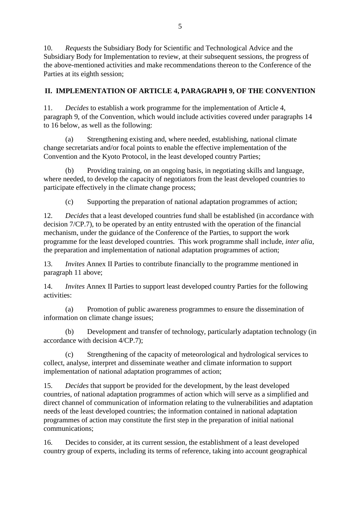10. *Requests* the Subsidiary Body for Scientific and Technological Advice and the Subsidiary Body for Implementation to review, at their subsequent sessions, the progress of the above-mentioned activities and make recommendations thereon to the Conference of the Parties at its eighth session;

### **II. IMPLEMENTATION OF ARTICLE 4, PARAGRAPH 9, OF THE CONVENTION**

11. *Decides* to establish a work programme for the implementation of Article 4, paragraph 9, of the Convention, which would include activities covered under paragraphs 14 to 16 below, as well as the following:

(a) Strengthening existing and, where needed, establishing, national climate change secretariats and/or focal points to enable the effective implementation of the Convention and the Kyoto Protocol, in the least developed country Parties;

(b) Providing training, on an ongoing basis, in negotiating skills and language, where needed, to develop the capacity of negotiators from the least developed countries to participate effectively in the climate change process;

(c) Supporting the preparation of national adaptation programmes of action;

12. *Decides* that a least developed countries fund shall be established (in accordance with decision 7/CP.7), to be operated by an entity entrusted with the operation of the financial mechanism, under the guidance of the Conference of the Parties, to support the work programme for the least developed countries. This work programme shall include*, inter alia*, the preparation and implementation of national adaptation programmes of action;

13. *Invites* Annex II Parties to contribute financially to the programme mentioned in paragraph 11 above;

14. *Invites* Annex II Parties to support least developed country Parties for the following activities:

(a) Promotion of public awareness programmes to ensure the dissemination of information on climate change issues;

(b) Development and transfer of technology, particularly adaptation technology (in accordance with decision 4/CP.7);

(c) Strengthening of the capacity of meteorological and hydrological services to collect, analyse, interpret and disseminate weather and climate information to support implementation of national adaptation programmes of action;

15. *Decides* that support be provided for the development, by the least developed countries, of national adaptation programmes of action which will serve as a simplified and direct channel of communication of information relating to the vulnerabilities and adaptation needs of the least developed countries; the information contained in national adaptation programmes of action may constitute the first step in the preparation of initial national communications;

16. Decides to consider, at its current session, the establishment of a least developed country group of experts, including its terms of reference, taking into account geographical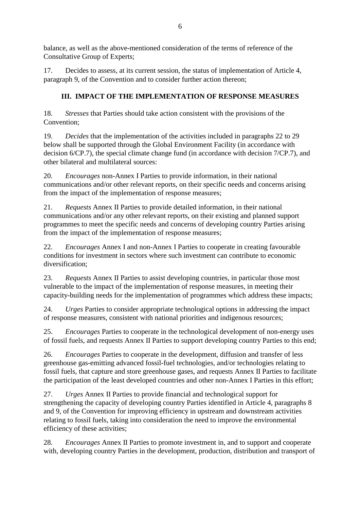balance, as well as the above-mentioned consideration of the terms of reference of the Consultative Group of Experts;

17. Decides to assess, at its current session, the status of implementation of Article 4, paragraph 9, of the Convention and to consider further action thereon;

## **III. IMPACT OF THE IMPLEMENTATION OF RESPONSE MEASURES**

18. *Stresses* that Parties should take action consistent with the provisions of the Convention;

19. *Decides* that the implementation of the activities included in paragraphs 22 to 29 below shall be supported through the Global Environment Facility (in accordance with decision 6/CP.7), the special climate change fund (in accordance with decision 7/CP.7), and other bilateral and multilateral sources:

20. *Encourages* non-Annex I Parties to provide information, in their national communications and/or other relevant reports, on their specific needs and concerns arising from the impact of the implementation of response measures;

21. *Requests* Annex II Parties to provide detailed information, in their national communications and/or any other relevant reports, on their existing and planned support programmes to meet the specific needs and concerns of developing country Parties arising from the impact of the implementation of response measures;

22. *Encourages* Annex I and non-Annex I Parties to cooperate in creating favourable conditions for investment in sectors where such investment can contribute to economic diversification;

23. *Requests* Annex II Parties to assist developing countries, in particular those most vulnerable to the impact of the implementation of response measures, in meeting their capacity-building needs for the implementation of programmes which address these impacts;

24. *Urges* Parties to consider appropriate technological options in addressing the impact of response measures, consistent with national priorities and indigenous resources;

25. *Encourages* Parties to cooperate in the technological development of non-energy uses of fossil fuels, and requests Annex II Parties to support developing country Parties to this end;

26. *Encourages* Parties to cooperate in the development, diffusion and transfer of less greenhouse gas-emitting advanced fossil-fuel technologies, and/or technologies relating to fossil fuels, that capture and store greenhouse gases, and requests Annex II Parties to facilitate the participation of the least developed countries and other non-Annex I Parties in this effort;

27. *Urges* Annex II Parties to provide financial and technological support for strengthening the capacity of developing country Parties identified in Article 4, paragraphs 8 and 9, of the Convention for improving efficiency in upstream and downstream activities relating to fossil fuels, taking into consideration the need to improve the environmental efficiency of these activities;

28. *Encourages* Annex II Parties to promote investment in, and to support and cooperate with, developing country Parties in the development, production, distribution and transport of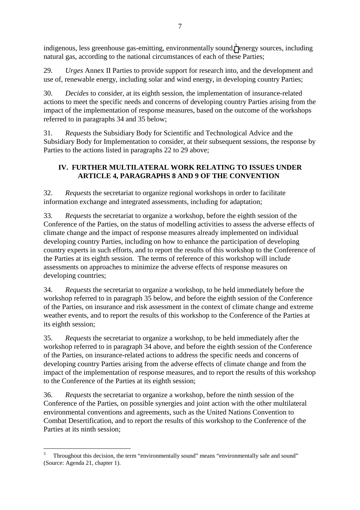indigenous, less greenhouse gas-emitting, environmentally sound,  $3$  energy sources, including natural gas, according to the national circumstances of each of these Parties;

29. *Urges* Annex II Parties to provide support for research into, and the development and use of, renewable energy, including solar and wind energy, in developing country Parties;

30. *Decides* to consider, at its eighth session, the implementation of insurance-related actions to meet the specific needs and concerns of developing country Parties arising from the impact of the implementation of response measures, based on the outcome of the workshops referred to in paragraphs 34 and 35 below;

31. *Requests* the Subsidiary Body for Scientific and Technological Advice and the Subsidiary Body for Implementation to consider, at their subsequent sessions, the response by Parties to the actions listed in paragraphs 22 to 29 above;

## **IV. FURTHER MULTILATERAL WORK RELATING TO ISSUES UNDER ARTICLE 4, PARAGRAPHS 8 AND 9 OF THE CONVENTION**

32. *Requests* the secretariat to organize regional workshops in order to facilitate information exchange and integrated assessments, including for adaptation;

33. *Requests* the secretariat to organize a workshop, before the eighth session of the Conference of the Parties, on the status of modelling activities to assess the adverse effects of climate change and the impact of response measures already implemented on individual developing country Parties, including on how to enhance the participation of developing country experts in such efforts, and to report the results of this workshop to the Conference of the Parties at its eighth session. The terms of reference of this workshop will include assessments on approaches to minimize the adverse effects of response measures on developing countries;

34. *Requests* the secretariat to organize a workshop, to be held immediately before the workshop referred to in paragraph 35 below, and before the eighth session of the Conference of the Parties, on insurance and risk assessment in the context of climate change and extreme weather events, and to report the results of this workshop to the Conference of the Parties at its eighth session;

35. *Requests* the secretariat to organize a workshop, to be held immediately after the workshop referred to in paragraph 34 above, and before the eighth session of the Conference of the Parties, on insurance-related actions to address the specific needs and concerns of developing country Parties arising from the adverse effects of climate change and from the impact of the implementation of response measures, and to report the results of this workshop to the Conference of the Parties at its eighth session;

36. *Requests* the secretariat to organize a workshop, before the ninth session of the Conference of the Parties, on possible synergies and joint action with the other multilateral environmental conventions and agreements, such as the United Nations Convention to Combat Desertification, and to report the results of this workshop to the Conference of the Parties at its ninth session;

 $\overline{a}$ 3 Throughout this decision, the term "environmentally sound" means "environmentally safe and sound" (Source: Agenda 21, chapter 1).